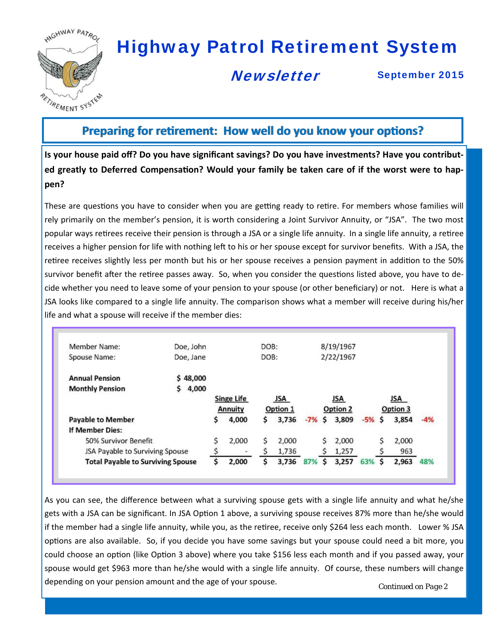

# Highway Patrol Retirement System

#### **Newsletter**

September 2015

#### **Preparing for retirement: How well do you know your options?**

**Is your house paid off? Do you have significant savings? Do you have investments? Have you contribut‐** ed greatly to Deferred Compensation? Would your family be taken care of if the worst were to hap**pen?** 

These are questions you have to consider when you are getting ready to retire. For members whose families will rely primarily on the member's pension, it is worth considering a Joint Survivor Annuity, or "JSA". The two most popular ways retirees receive their pension is through a JSA or a single life annuity. In a single life annuity, a retiree receives a higher pension for life with nothing left to his or her spouse except for survivor benefits. With a JSA, the retiree receives slightly less per month but his or her spouse receives a pension payment in addition to the 50% survivor benefit after the retiree passes away. So, when you consider the questions listed above, you have to decide whether you need to leave some of your pension to your spouse (or other beneficiary) or not. Here is what a JSA looks like compared to a single life annuity. The comparison shows what a member will receive during his/her life and what a spouse will receive if the member dies:

| Member Name:                             | Doe, John  |    |                   | DOB: |          |       |    | 8/19/1967 |       |    |          |       |
|------------------------------------------|------------|----|-------------------|------|----------|-------|----|-----------|-------|----|----------|-------|
| Spouse Name:                             | Doe, Jane  |    |                   | DOB: |          |       |    | 2/22/1967 |       |    |          |       |
| <b>Annual Pension</b>                    | \$48,000   |    |                   |      |          |       |    |           |       |    |          |       |
| <b>Monthly Pension</b>                   | 4,000<br>s |    |                   |      |          |       |    |           |       |    |          |       |
|                                          |            |    | <b>Singe Life</b> |      | JSA      |       |    | JSA       |       |    | JSA      |       |
|                                          |            |    | Annuity           |      | Option 1 |       |    | Option 2  |       |    | Option 3 |       |
| <b>Payable to Member</b>                 |            | Ś  | 4,000             | s    | 3,736    | $-7%$ | Ś  | 3,809     | $-5%$ | s  | 3,854    | $-4%$ |
| <b>If Member Dies:</b>                   |            |    |                   |      |          |       |    |           |       |    |          |       |
| 50% Survivor Benefit                     |            | \$ | 2,000             | \$   | 2,000    |       | \$ | 2,000     |       | \$ | 2,000    |       |
| JSA Payable to Surviving Spouse          |            |    |                   |      | 1,736    |       | S  | 1,257     |       |    | 963      |       |
| <b>Total Payable to Surviving Spouse</b> |            | Ś  | 2.000             | s    | 3,736    | 87%   | Ŝ  | 3.257     | 63%   | S  | 2.963    | 48%   |

As you can see, the difference between what a surviving spouse gets with a single life annuity and what he/she gets with a JSA can be significant. In JSA Option 1 above, a surviving spouse receives 87% more than he/she would if the member had a single life annuity, while you, as the retiree, receive only \$264 less each month. Lower % JSA options are also available. So, if you decide you have some savings but your spouse could need a bit more, you could choose an option (like Option 3 above) where you take \$156 less each month and if you passed away, your spouse would get \$963 more than he/she would with a single life annuity. Of course, these numbers will change depending on your pension amount and the age of your spouse.<br>
Continued on Page 2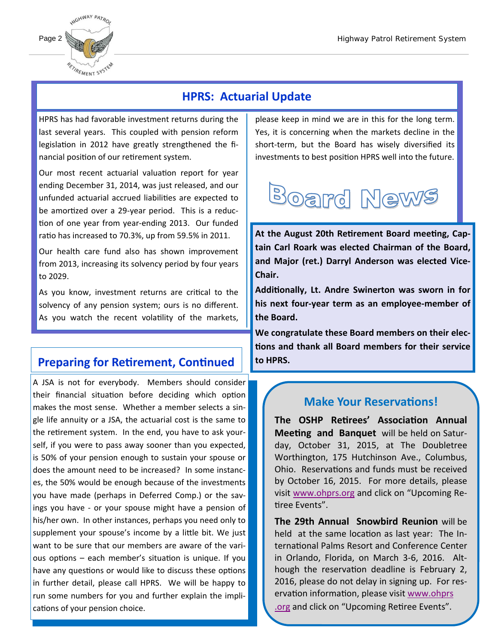

#### **HPRS: Actuarial Update**

HPRS has had favorable investment returns during the last several years. This coupled with pension reform legislation in 2012 have greatly strengthened the financial position of our retirement system.

Our most recent actuarial valuation report for year ending December 31, 2014, was just released, and our unfunded actuarial accrued liabilities are expected to be amortized over a 29-year period. This is a reduction of one year from year-ending 2013. Our funded ratio has increased to 70.3%, up from 59.5% in 2011.

**Board News Action**<br>
Our health care fund also has shown improvement from 2013, increasing its solvency period by four years to 2029.

As you know, investment returns are critical to the solvency of any pension system; ours is no different. As you watch the recent volatility of the markets,

#### **Preparing for Retirement, Continued**

A JSA is not for everybody. Members should consider their financial situation before deciding which option makes the most sense. Whether a member selects a single life annuity or a JSA, the actuarial cost is the same to the retirement system. In the end, you have to ask yourself, if you were to pass away sooner than you expected, is 50% of your pension enough to sustain your spouse or does the amount need to be increased? In some instances, the 50% would be enough because of the investments you have made (perhaps in Deferred Comp.) or the savings you have - or your spouse might have a pension of his/her own. In other instances, perhaps you need only to supplement your spouse's income by a little bit. We just want to be sure that our members are aware of the various options  $-$  each member's situation is unique. If you have any questions or would like to discuss these options in further detail, please call HPRS. We will be happy to run some numbers for you and further explain the implications of your pension choice.

please keep in mind we are in this for the long term. Yes, it is concerning when the markets decline in the short-term, but the Board has wisely diversified its investments to best position HPRS well into the future.



At the August 20th Retirement Board meeting, Cap**tain Carl Roark was elected Chairman of the Board, and Major (ret.) Darryl Anderson was elected Vice‐ Chair.** 

**AddiƟonally, Lt. Andre Swinerton was sworn in for his next four‐year term as an employee‐member of the Board.** 

**We congratulate these Board members on their elec‐ Ɵons and thank all Board members for their service to HPRS.** 

#### **Make Your Reservations!**

**The OSHP ReƟrees' AssociaƟon Annual Meeting and Banquet** will be held on Saturday, October 31, 2015, at The Doubletree Worthington, 175 Hutchinson Ave., Columbus, Ohio. Reservations and funds must be received by October 16, 2015. For more details, please visit www.ohprs.org and click on "Upcoming Retiree Fyents".

**The 29th Annual Snowbird Reunion** will be held at the same location as last year: The International Palms Resort and Conference Center in Orlando, Florida, on March 3-6, 2016. Although the reservation deadline is February 2, 2016, please do not delay in signing up. For reservation information, please visit www.ohprs .org and click on "Upcoming Retiree Events".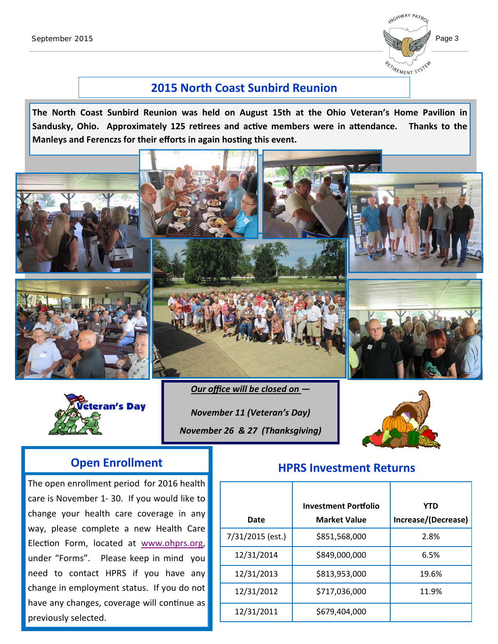

#### **2015 North Coast Sunbird Reunion**

**The North Coast Sunbird Reunion was held on August 15th at the Ohio Veteran's Home Pavilion in Sandusky, Ohio.** Approximately 125 retirees and active members were in attendance. Thanks to the **Manleys and Ferenczs for their efforts in again hosting this event.** 





*Our office will be closed on —*

*November 11 (Veteran's Day) November 26 & 27 (Thanksgiving)*



The open enrollment period for 2016 health care is November 1-30. If you would like to change your health care coverage in any way, please complete a new Health Care Election Form, located at www.ohprs.org, under "Forms". Please keep in mind you need to contact HPRS if you have any change in employment status. If you do not have any changes, coverage will continue as previously selected.

## **Open Enrollment HPRS Investment Returns**

|                  | <b>Investment Portfolio</b> | <b>YTD</b>          |
|------------------|-----------------------------|---------------------|
| Date             | <b>Market Value</b>         | Increase/(Decrease) |
| 7/31/2015 (est.) | \$851,568,000               | 2.8%                |
| 12/31/2014       | \$849,000,000               | 6.5%                |
| 12/31/2013       | \$813,953,000               | 19.6%               |
| 12/31/2012       | \$717,036,000               | 11.9%               |
| 12/31/2011       | \$679,404,000               |                     |